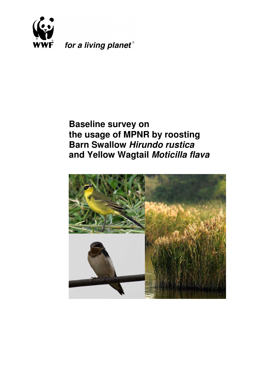

for a living planet®

# **Baseline survey on the usage of MPNR by roosting Barn Swallow Hirundo rustica and Yellow Wagtail Moticilla flava**

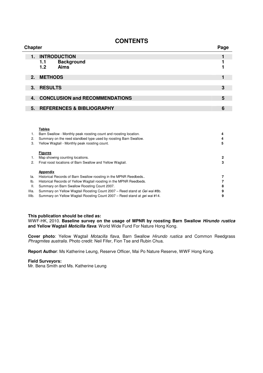# **CONTENTS**

| <b>Chapter</b><br>Page |                                       |   |  |  |  |
|------------------------|---------------------------------------|---|--|--|--|
| 1.                     | <b>INTRODUCTION</b>                   |   |  |  |  |
|                        | <b>Background</b><br>1.1              |   |  |  |  |
|                        | <b>Aims</b><br>1.2                    |   |  |  |  |
|                        | 2. METHODS                            |   |  |  |  |
| $3_{-}$                | <b>RESULTS</b>                        | 3 |  |  |  |
| 4.                     | <b>CONCLUSION and RECOMMENDATIONS</b> | 5 |  |  |  |
| 5.                     | <b>REFERENCES &amp; BIBLIOGRAPHY</b>  | 6 |  |  |  |
|                        |                                       |   |  |  |  |

#### **Tables**

|       | Barn Swallow - Monthly peak roosting count and roosting location.                 | 4 |
|-------|-----------------------------------------------------------------------------------|---|
| 2.    | Summary on the reed standbed type used by roosting Barn Swallow.                  | 4 |
| З.    | Yellow Wagtail - Monthly peak roosting count.                                     | 5 |
|       | <b>Figures</b>                                                                    |   |
|       | Map showing counting locations.                                                   | 2 |
| 2.    | Final roost locations of Barn Swallow and Yellow Wagtail.                         | з |
|       | Appendix                                                                          |   |
| la.   | Historical Records of Barn Swallow roosting in the MPNR Reedbeds                  |   |
| lb.   | Historical Records of Yellow Wagtail roosting in the MPNR Reedbeds.               |   |
| Ш.    | Summary on Barn Swallow Roosting Count 2007.                                      | 8 |
| IIIa. | Summary on Yellow Wagtail Roosting Count 2007 – Reed stand at Gei wai #8b.        | 9 |
| IIIb. | Summary on Yellow Wagtail Roosting Count 2007 – Reed stand at <i>gei wai</i> #14. | 9 |
|       |                                                                                   |   |

#### **This publication should be cited as:**

WWF-HK, 2010. **Baseline survey on the usage of MPNR by roosting Barn Swallow Hirundo rustica and Yellow Wagtail Moticilla flava**. World Wide Fund For Nature Hong Kong.

**Cover photo**: Yellow Wagtail Motacilla flava, Barn Swallow Hirundo rustica and Common Reedgrass Phragmites australis. Photo credit: Neil Fifer, Fion Tse and Rubin Chua.

**Report Author**: Ms Katherine Leung, Reserve Officer, Mai Po Nature Reserve, WWF Hong Kong.

#### **Field Surveyors:**

Mr. Bena Smith and Ms. Katherine Leung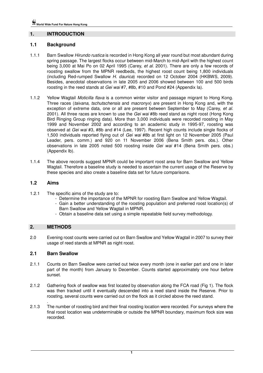## **1. INTRODUCTION**

## **1.1 Background**

- 1.1.1 Barn Swallow Hirundo rustica is recorded in Hong Kong all year round but most abundant during spring passage. The largest flocks occur between mid-March to mid-April with the highest count being 3,000 at Mai Po on 02 April 1995 (Carey, et al. 2001). There are only a few records of roosting swallow from the MPNR reedbeds, the highest roost count being 1,800 individuals (including Red-rumped Swallow H. daurica) recorded on 12 October 2004 (HKBWS, 2009). Besides, anecdotal observations in late 2005 and 2006 showed between 100 and 500 birds roosting in the reed stands at *Gei wai* #7, #8b, #10 and Pond #24 (Appendix Ia).
- 1.1.2 Yellow Wagtail Moticilla flava is a common winter visitor and passage migrant to Hong Kong. Three races *(taivana, tschutschensis* and *macronyx*) are present in Hong Kong and, with the exception of extreme data, one or all are present between September to May (Carey, et al. 2001). All three races are known to use the Gei wai #8b reed stand as night roost (Hong Kong Bird Ringing Group ringing data). More than 3,000 individuals were recorded roosting in May 1999 and November 2002 and according to an academic study in 1995-97, roosting was observed at Gei wai #3, #8b and #14 (Lee, 1997). Recent high counts include single flocks of 1,500 individuals reported flying out of Gei wai #8b at first light on 12 November 2005 (Paul Leader, pers. comm.) and 920 on 11 November 2006 (Bena Smith pers. obs.). Other observations in late 2005 noted 500 roosting inside Gei wai #14 (Bena Smith pers. obs.) (Appendix Ib).
- 1.1.4 The above records suggest MPNR could be important roost area for Barn Swallow and Yellow Wagtail. Therefore a baseline study is needed to ascertain the current usage of the Reserve by these species and also create a baseline data set for future comparisons.

#### **1.2 Aims**

- 1.2.1 The specific aims of the study are to:
	- Determine the importance of the MPNR for roosting Barn Swallow and Yellow Wagtail.
	- Gain a better understanding of the roosting population and preferred roost location(s) of Barn Swallow and Yellow Wagtail in MPNR.
	- Obtain a baseline data set using a simple repeatable field survey methodology.

#### **2. METHODS**

2.0 Evening roost counts were carried out on Barn Swallow and Yellow Wagtail in 2007 to survey their usage of reed stands at MPNR as night roost.

#### **2.1 Barn Swallow**

- 2.1.1 Counts on Barn Swallow were carried out twice every month (one in earlier part and one in later part of the month) from January to December. Counts started approximately one hour before sunset.
- 2.1.2 Gathering flock of swallow was first located by observation along the FCA road (Fig 1). The flock was then tracked until it eventually descended into a reed stand inside the Reserve. Prior to roosting, several counts were carried out on the flock as it circled above the reed stand.
- . 2.1.3 The number of roosting bird and their final roosting location were recorded. For surveys where the final roost location was undeterminable or outside the MPNR boundary, maximum flock size was recorded.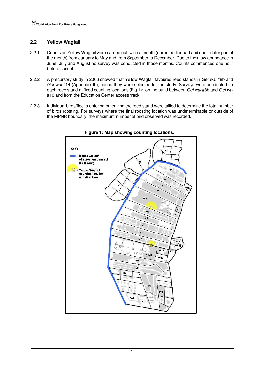# **2.2 Yellow Wagtail**

- 2.2.1 Counts on Yellow Wagtail were carried out twice a month (one in earlier part and one in later part of the month) from January to May and from September to December. Due to their low abundance in June, July and August no survey was conducted in those months. Counts commenced one hour before sunset.
- 2.2.2 A precursory study in 2006 showed that Yellow Wagtail favoured reed stands in Gei wai #8b and Gei wai #14 (Appendix Ib), hence they were selected for the study. Surveys were conducted on each reed stand at fixed counting locations (Fig 1): on the bund between Gei wai #8b and Gei wai #10 and from the Education Center access track.
- 2.2.3 Individual birds/flocks entering or leaving the reed stand were tallied to determine the total number of birds roosting. For surveys where the final roosting location was undeterminable or outside of the MPNR boundary, the maximum number of bird observed was recorded.



**Figure 1: Map showing counting locations.**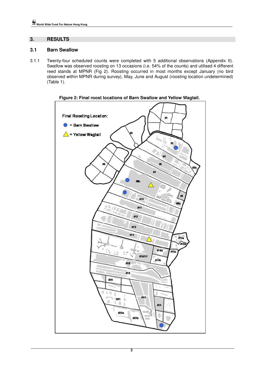## **3. RESULTS**

## **3.1 Barn Swallow**

3.1.1 Twenty-four scheduled counts were completed with 5 additional observations (Appendix II). Swallow was observed roosting on 13 occasions (i.e. 54% of the counts) and utilised 4 different reed stands at MPNR (Fig 2). Roosting occurred in most months except January (no bird observed within MPNR during survey), May, June and August (roosting location undetermined) (Table 1).



**Figure 2: Final roost locations of Barn Swallow and Yellow Wagtail.**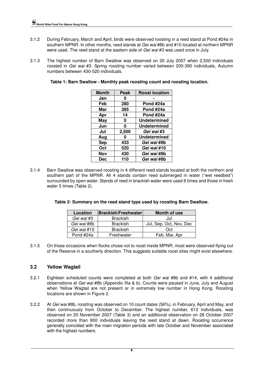- 3.1.2 During February, March and April, birds were observed roosting in a reed stand at Pond #24a in southern MPNR. In other months, reed stands at Gei wai #8b and #10 located at northern MPNR were used. The reed stand at the eastern side of Gei wai #3 was used once in July.
- 3.1.3 The highest number of Barn Swallow was observed on 20 July 2007 when 2,500 individuals roosted in Gei wai #3. Spring roosting number varied between 200-390 individuals, Autumn numbers between 430-520 individuals.

| <b>Month</b> | Peak  | <b>Roost location</b> |
|--------------|-------|-----------------------|
| Jan          | 0     |                       |
| Feb          | 280   | Pond #24a             |
| Mar          | 385   | Pond #24a             |
| Apr          | 14    | Pond #24a             |
| <b>May</b>   | 0     | <b>Undetermined</b>   |
| Jun          | 0     | <b>Undetermined</b>   |
| Jul          | 2,500 | Gei wai #3            |
| Aug          | O     | <b>Undetermined</b>   |
| <b>Sep</b>   | 433   | Gei wai #8b           |
| Oct          | 520   | Gei wai #10           |
| Nov          | 430   | Gei wai #8b           |
| Dec          | 110   | Gei wai #8b           |

**Table 1: Barn Swallow - Monthly peak roosting count and roosting location.** 

3.1.4 Barn Swallow was observed roosting in 4 different reed stands located at both the northern and southern part of the MPNR. All 4 stands contain reed submerged in water ("wet reedbed") surrounded by open water. Stands of reed in brackish water were used 8 times and those in fresh water 5 times (Table 2).

| Location    | Brackish/Freshwater | Month of use            |
|-------------|---------------------|-------------------------|
| Gei wai #3  | <b>Brackish</b>     | Jul                     |
| Gei wai #8b | <b>Brackish</b>     | Jul, Sep, Oct, Nov, Dec |
| Gei wai #10 | <b>Brackish</b>     | Oct                     |
| Pond #24a   | Freshwater          | Feb, Mar, Apr           |

3.1.5 On those occasions when flocks chose not to roost inside MPNR, most were observed flying out of the Reserve in a southerly direction. This suggests suitable roost sites might exist elsewhere.

## **3.2 Yellow Wagtail**

- 3.2.1 Eighteen scheduled counts were completed at both Gei wai #8b and #14, with 4 additional observations at Gei wai #8b (Appendix IIIa & b). Counts were paused in June, July and August when Yellow Wagtail are not present or in extremely low number in Hong Kong. Roosting locations are shown in Figure 2.
- 3.2.2 At Gei wai #8b, roosting was observed on 10 count dates (56%), in February, April and May, and then continuously from October to December. The highest number, 612 individuals, was observed on 20 November 2007 (Table 3) and an additional observation on 28 October 2007 recorded more than 800 individuals leaving the reed stand at dawn. Roosting occurrence generally coincided with the main migration periods with late October and November associated with the highest numbers.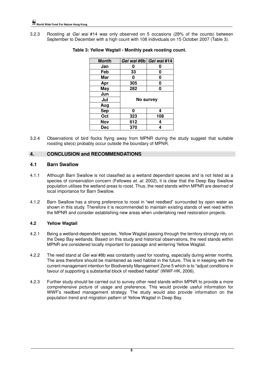3.2.3 Roosting at Gei wai #14 was only observed on 5 occasions (28% of the counts) between September to December with a high count with 108 individuals on 15 October 2007 (Table 3).

| <b>Month</b> |           | Gei wai #8b   Gei wai #14 |  |
|--------------|-----------|---------------------------|--|
| Jan          |           |                           |  |
| Feb          | 33        | 0                         |  |
| Mar          | O         | 0                         |  |
| Apr          | 305       | 0                         |  |
| May          | 282       | Ω                         |  |
| Jun          |           |                           |  |
| Jul          | No survey |                           |  |
| Aug          |           |                           |  |
| <b>Sep</b>   | U         | 4                         |  |
| Oct          | 323       | 108                       |  |
| Nov          | 612       | 4                         |  |
| Dec          | 370       |                           |  |

## **Table 3: Yellow Wagtail - Monthly peak roosting count.**

3.2.4 Observations of bird flocks flying away from MPNR during the study suggest that suitable roosting site(s) probably occur outside the boundary of MPNR.

## **4. CONCLUSION and RECOMMENDATIONS**

## **4.1 Barn Swallow**

- 4.1.1 Although Barn Swallow is not classified as a wetland dependant species and is not listed as a species of conservation concern (Fellowes et. al. 2002), it is clear that the Deep Bay Swallow population utilises the wetland areas to roost. Thus, the reed stands within MPNR are deemed of local importance for Barn Swallow.
- 4.1.2 Barn Swallow has a strong preference to roost in "wet reedbed" surrounded by open water as shown in this study. Therefore it is recommended to maintain existing stands of wet reed within the MPNR and consider establishing new areas when undertaking reed restoration projects.

## **4.2 Yellow Wagtail**

- 4.2.1 Being a wetland-dependent species, Yellow Wagtail passing through the territory strongly rely on the Deep Bay wetlands. Based on this study and historical observations, the reed stands within MPNR are considered locally important for passage and wintering Yellow Wagtail.
- 4.2.2 The reed stand at Gei wai #8b was constantly used for roosting, especially during winter months. The area therefore should be maintained as reed habitat in the future. This is in keeping with the current management intention for Biodiversity Management Zone 5 which is to "adjust conditions in favour of supporting a substantial block of reedbed habitat" (WWF-HK, 2006).
- 4.2.3 Further study should be carried out to survey other reed stands within MPNR to provide a more comprehensive picture of usage and preference. This would provide useful information for WWF's reedbed management strategy. The study would also provide information on the population trend and migration pattern of Yellow Wagtail in Deep Bay.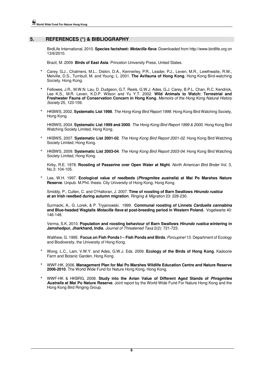## **5. REFERENCES (\*) & BIBLIOGRAPHY**

BirdLife International, 2010. **Species factsheet: Motacilla flava**. Downloaded from http://www.birdlife.org on 13/6/2010.

Brazil, M. 2009. **Birds of East Asia**. Princeton University Press, United States.

- **\*** Carey, G.J., Chalmers, M.L., Diskin, D.A., Kennerley, P.R., Leader, P.J., Leven, M.R., Lewthwaite, R.W., Melville, D.S., Turnbull, M. and Young, L. 2001. **The Avifauna of Hong Kong**. Hong Kong Bird-watching Society, Hong Kong.
- **\*** Fellowes, J.R., M.W.N. Lau, D. Dudgeon, G.T. Reels, G.W.J. Ades, G.J. Carey, B.P.L. Chan, R.C. Kendrick, Lee K.S., M.R. Leven, K.D.P. Wilson and Yu Y.T. 2002. **Wild Animals to Watch: Terrestrial and Freshwater Fauna of Conservation Concern in Hong Kong**. Memoirs of the Hong Kong Natural History Society 25, 123-159.
- **\*** HKBWS, 2002. **Systematic List 1998**. The Hong Kong Bird Report 1998. Hong Kong Bird Watching Society, Hong Kong.

HKBWS, 2004. **Systematic List 1999 and 2000**. The Hong Kong Bird Report 1999 & 2000. Hong Kong Bird Watching Society Limited, Hong Kong.

- **\*** HKBWS, 2007. **Systematic List 2001-02**. The Hong Kong Bird Report 2001-02. Hong Kong Bird Watching Society Limited, Hong Kong.
- **\*** HKBWS, 2009. **Systematic List 2003-04**. The Hong Kong Bird Report 2003-04. Hong Kong Bird Watching Society Limited, Hong Kong.

Kirby, R.E. 1978. **Roosting of Passerine over Open Water at Night**. North American Bird Bnder Vol. 3, No.3: 104-105.

**\*** Lee, W.H. 1997. **Ecological value of reedbeds (Phragmites australis) at Mai Po Marshes Nature Reserve**. Unpub. M.Phil. thesis. City University of Hong Kong, Hong Kong.

Smiddy, P., Cullen, C. and O'Halloran, J. 2007. **Time of roosting of Barn Swallows Hirundo rustica at an Irish reedbed during autumn migration**. Ringing & Migration 23: 228-230.

Surmacki, A., G. Lorek, & P. Tryjanowski. 1999. **Communal roosting of Linnets Carduelis cannabina and Blue-headed Wagtails Motacilla flava at post-breeding period in Western Poland.** Vogelwarte 40: 146-148.

Verma, S.K. 2010. **Population and roosting behaviour of Barn Swallows Hirundo rustica wintering in Jamshedpur, Jharkhand, India**. Journal of Threatened Taxa 2(2): 721-723.

Walthew, G. 1995. **Focus on Fish Ponds I – Fish Ponds and Birds**. Porcupine! 13. Department of Ecology and Biodiversity, the University of Hong Kong.

- **\*** Wong, L.C., Lam, V.W.Y. and Ades, G.W.J. Eds. 2009. **Ecology of the Birds of Hong Kong**. Kadoorie Farm and Botanic Garden, Hong Kong.
- **\*** WWF-HK. 2006. **Management Plan for Mai Po Marshes Wildlife Education Centre and Nature Reserve 2006-2010**. The World Wide Fund for Nature Hong Kong, Hong Kong.
- **\*** WWF-HK & HKBRG, 2008. **Study into the Avian Value of Different Aged Stands of Phragmites Australis at Mai Po Nature Reserve**. Joint report by the World Wide Fund For Nature Hong Kong and the Hong Kong Bird Ringing Group.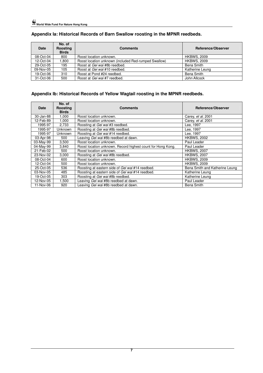| <b>Date</b> | No. of<br>Roosting<br><b>Birds</b> | <b>Comments</b>                                      | Reference/Observer |
|-------------|------------------------------------|------------------------------------------------------|--------------------|
| 08-Oct-04   | 800                                | Roost location unknown.                              | <b>HKBWS, 2009</b> |
| 12-Oct-04   | 1.800                              | Roost location unknown (included Red-rumped Swallow) | <b>HKBWS, 2009</b> |
| 29-Oct-05   | 195                                | Roost at Gei wai #8b reedbed.                        | Bena Smith         |
| 09-Nov-05   | 105                                | Roost at Gei wai #10 reedbed.                        | Katherine Leung    |
| 19-Oct-06   | 310                                | Roost at Pond #24 reedbed.                           | Bena Smith         |
| 31-Oct-06   | 500                                | Roost at Gei wai #7 reedbed.                         | John Allcock       |

# **Appendix Ia: Historical Records of Barn Swallow roosting in the MPNR reedbeds.**

## **Appendix Ib: Historical Records of Yellow Wagtail roosting in the MPNR reedbeds.**

| Date      | No. of<br><b>Roosting</b><br><b>Birds</b> | <b>Comments</b>                                             | Reference/Observer             |
|-----------|-------------------------------------------|-------------------------------------------------------------|--------------------------------|
| 30-Jan-88 | 1,000                                     | Roost location unknown.                                     | Carey, et al. 2001             |
| 12-Feb-89 | 1,000                                     | Roost location unknown.                                     | Carey, et al. 2001             |
| 1995-97   | 2,733                                     | Roosting at Gei wai #3 reedbed.                             | Lee. 1997                      |
| 1995-97   | <b>Unknown</b>                            | Roosting at Gei wai #8b reedbed.                            | Lee, 1997                      |
| 1995-97   | <b>Unknown</b>                            | Roosting at Gei wai #14 reedbed.                            | Lee, 1997                      |
| 03-Apr-98 | 500                                       | Leaving Gei wai #8b reedbed at dawn.                        | <b>HKBWS, 2002</b>             |
| 03-May-99 | 3,500                                     | Roost location unknown.                                     | Paul Leader                    |
| 04-May-99 | 3,840                                     | Roost location unknown. Record highest count for Hong Kong. | Paul Leader                    |
| 21-Feb-02 | 500                                       | Roost location unknown.                                     | <b>HKBWS, 2007</b>             |
| 23-Nov-02 | 3.000                                     | Roosting at Gei wai #8b reedbed.                            | <b>HKBWS, 2007</b>             |
| 08-Oct-04 | 600                                       | Roost location unknown.                                     | <b>HKBWS, 2009</b>             |
| 12-Oct-04 | 500                                       | Roost location unknown.                                     | <b>HKBWS, 2009</b>             |
| 25-Oct-05 | 536                                       | Roosting at eastern side of Gei wai #14 reedbed.            | Bena Smith and Katherine Leung |
| 03-Nov-05 | 485                                       | Roosting at eastern side of Gei wai #14 reedbed.            | Katherine Leung                |
| 19-Oct-05 | 303                                       | Roosting at Gei wai #8b reedbed.                            | Katherine Leung                |
| 12-Nov-05 | .500                                      | Leaving Gei wai #8b reedbed at dawn.                        | Paul Leader                    |
| 11-Nov-06 | 920                                       | Leaving Gei wai #8b reedbed at dawn.                        | Bena Smith                     |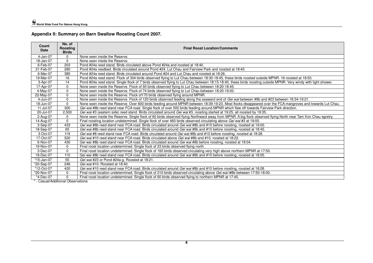**Appendix II: Summary on Barn Swallow Roosting Count 2007.** 

| Count<br><b>Date</b> | No. of<br>Roosting<br><b>Birds</b> | <b>Final Roost Location/Comments</b>                                                                                                                            |
|----------------------|------------------------------------|-----------------------------------------------------------------------------------------------------------------------------------------------------------------|
| 4-Jan-07             | $\Omega$                           | None seen inside the Reserve.                                                                                                                                   |
| 18-Jan-07            | 0                                  | None seen inside the Reserve.                                                                                                                                   |
| 6-Feb-07             | 203                                | Pond #24a reed stand. Birds circulated above Pond #24a and roosted at 18:40.                                                                                    |
| 21-Feb-07            | 280                                | Pond #24a reedbed. Birds circulated around Pond #24. Lut Chau and Fairview Park and roosted at 18:40.                                                           |
| 6-Mar-07             | 385                                | Pond #24a reed stand. Birds circulated around Pond #24 and Lut Chau and roosted at 18:26.                                                                       |
| 19-Mar-07            | 16                                 | Pond #24a reed stand. Flock of 304 birds observed flying to Lut Chau between 18:30-18:45, these birds roosted outside MPNR. 16 roosted at 18:50.                |
| 3-Apr-07             | 14                                 | Pond #24a reed stand. Single flock of 7 birds observed flying to Lut Chau between 18:15-18:40, these birds roosting outside MPNR. Very windy with light shower. |
| 17-Apr-07            | $\mathbf 0$                        | None seen inside the Reserve. Flock of 93 birds observed flying to Lut Chau between 18:20-18:45.                                                                |
| $4-May-07$           | $\mathbf 0$                        | None seen inside the Reserve. Flock of 74 birds observed flying to Lut Chau between 18:20-19:00.                                                                |
| 22-May-07            | $\mathbf 0$                        | None seen inside the Reserve. Flock of 170 birds observed flying around MPNR.                                                                                   |
| 4-Jun-07             | $\mathbf 0$                        | None seen inside the Reserve. Flock of 120 birds observed feeding along the seaward end of Gei wai between #8b and #23 between 18:34-19:21.                     |
| 18-Jun-07            | 0                                  | None seen inside the Reserve. Over 600 birds feeding around MPNR between 18:39-19:23. Most flocks disappeared over the FCA mangroves and towards Lut Chau.      |
| 11-Jul-07            | 300                                | Gei wai #8b reed stand near FCA road. Single flock of over 500 birds feeding around MPNR which flew off towards Fairview Park direction.                        |
| 20-Jul-07            | 2,500                              | Gei wai #3 (eastern side) reed stand. Birds circulated around Gei wai #3, roosting started at 19:25, all roosted by 19:35.                                      |
| 2-Aug-07             | $\mathbf{0}$                       | None seen inside the Reserve. Single flock of 60 birds observed flying Northward away from MPNR. A big flock observed flying North near Tam Kon Chau egretry.   |
| 14-Aug-07            | $\mathbf 0$                        | Final roosting location undetermined. Single flock of over 460 birds observed circulating above Gei wai #3 at 19:00.                                            |
| 3-Sep-07             | 433                                | Gei wai #8b reed stand near FCA road. Birds circulated around Gei wai #8b and #10 before roosting, roosted at 19:00.                                            |
| 18-Sep-07            | 65                                 | Gei wai #8b reed stand near FCA road. Birds circulated around Gei wai #8b and #10 before roosting, roosted at 18:45.                                            |
| 3-Oct-07             | 119                                | Gei wai #8 reed stand near FCA road. Birds circulated around Gei wai #8b and #10 before roosting, roosted at 18:28                                              |
| 17-Oct-07            | 520                                | Gei wai #10 reed stand near FCA road. Birds circulated above Gei wai #8b and #10, roosted at 18:22.                                                             |
| 6-Nov-07             | 430                                | Gei wai #8b reed stand near FCA road. Birds circulated around Gei wai #8b before roosting, roosted at 18:04.                                                    |
| 19-Nov-07            | 0                                  | Final roost location undetermined. Single flock of 23 birds observed flying north.                                                                              |
| 3-Dec-07             | $\mathbf 0$                        | Final roost location undetermined. Single flock of 160 birds observed circulating very high above northern MPNR at 17:50.                                       |
| 18-Dec-07            | 110                                | Gei wai #8b reed stand near FCA road. Birds circulated around Gei wai #8b and #10 before roosting, roosted at 18:05.                                            |
| *15-Jan-07           | 55                                 | Gei wai #23 or Pond #24a-g. Roosted at 18:21.                                                                                                                   |
| *20-Sep-07           | 246                                | Gei wai #10. Roosted at 18:40.                                                                                                                                  |
| *12-Oct-07           | 420                                | Gei wai #10 reed stand near FCA road. Birds circulated around Gei wai #8b and #10 before roosting, roosted at 18:28.                                            |
| *20-Nov-07           | 0                                  | Final roost location undetermined. Single flock of 210 birds observed circulating above Gei wai i#8b between 17:50-18:00.                                       |
| *4-Dec-07            | $\Omega$                           | Final roost location undetermined. Single flock of 60 birds observed flying to northern MPNR at 17:45.                                                          |

\* - Casual/Additional Observations